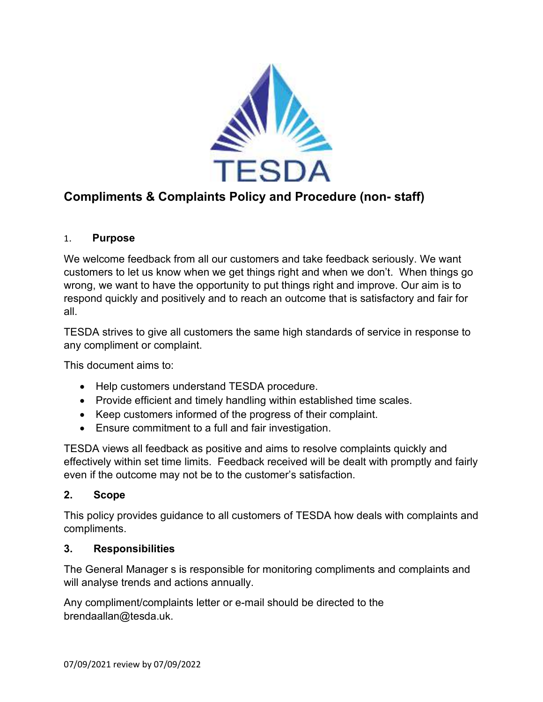

# **Compliments & Complaints Policy and Procedure (non- staff)**

## 1. **Purpose**

We welcome feedback from all our customers and take feedback seriously. We want customers to let us know when we get things right and when we don't. When things go wrong, we want to have the opportunity to put things right and improve. Our aim is to respond quickly and positively and to reach an outcome that is satisfactory and fair for all.

TESDA strives to give all customers the same high standards of service in response to any compliment or complaint.

This document aims to:

- Help customers understand TESDA procedure.
- Provide efficient and timely handling within established time scales.
- Keep customers informed of the progress of their complaint.
- Ensure commitment to a full and fair investigation.

TESDA views all feedback as positive and aims to resolve complaints quickly and effectively within set time limits. Feedback received will be dealt with promptly and fairly even if the outcome may not be to the customer's satisfaction.

#### **2. Scope**

This policy provides guidance to all customers of TESDA how deals with complaints and compliments.

#### **3. Responsibilities**

The General Manager s is responsible for monitoring compliments and complaints and will analyse trends and actions annually.

Any compliment/complaints letter or e-mail should be directed to the brendaallan@tesda.uk.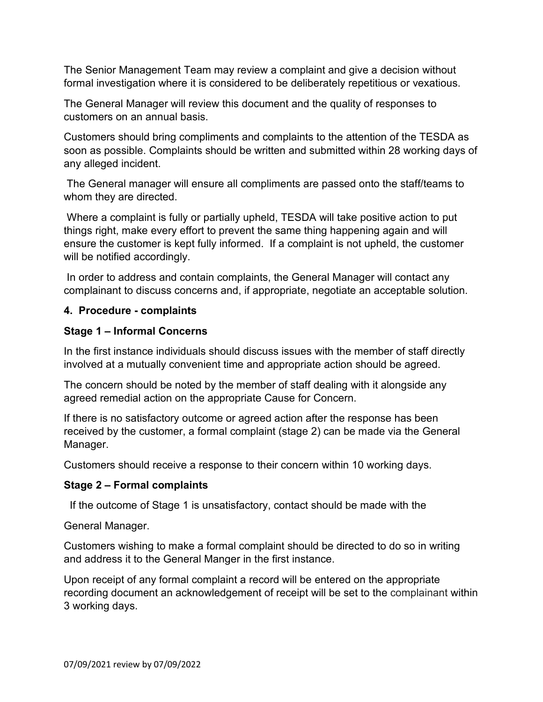The Senior Management Team may review a complaint and give a decision without formal investigation where it is considered to be deliberately repetitious or vexatious.

The General Manager will review this document and the quality of responses to customers on an annual basis.

Customers should bring compliments and complaints to the attention of the TESDA as soon as possible. Complaints should be written and submitted within 28 working days of any alleged incident.

 The General manager will ensure all compliments are passed onto the staff/teams to whom they are directed.

 Where a complaint is fully or partially upheld, TESDA will take positive action to put things right, make every effort to prevent the same thing happening again and will ensure the customer is kept fully informed. If a complaint is not upheld, the customer will be notified accordingly.

 In order to address and contain complaints, the General Manager will contact any complainant to discuss concerns and, if appropriate, negotiate an acceptable solution.

# **4. Procedure - complaints**

# **Stage 1 – Informal Concerns**

In the first instance individuals should discuss issues with the member of staff directly involved at a mutually convenient time and appropriate action should be agreed.

The concern should be noted by the member of staff dealing with it alongside any agreed remedial action on the appropriate Cause for Concern.

If there is no satisfactory outcome or agreed action after the response has been received by the customer, a formal complaint (stage 2) can be made via the General Manager.

Customers should receive a response to their concern within 10 working days.

## **Stage 2 – Formal complaints**

If the outcome of Stage 1 is unsatisfactory, contact should be made with the

General Manager.

Customers wishing to make a formal complaint should be directed to do so in writing and address it to the General Manger in the first instance.

Upon receipt of any formal complaint a record will be entered on the appropriate recording document an acknowledgement of receipt will be set to the complainant within 3 working days.